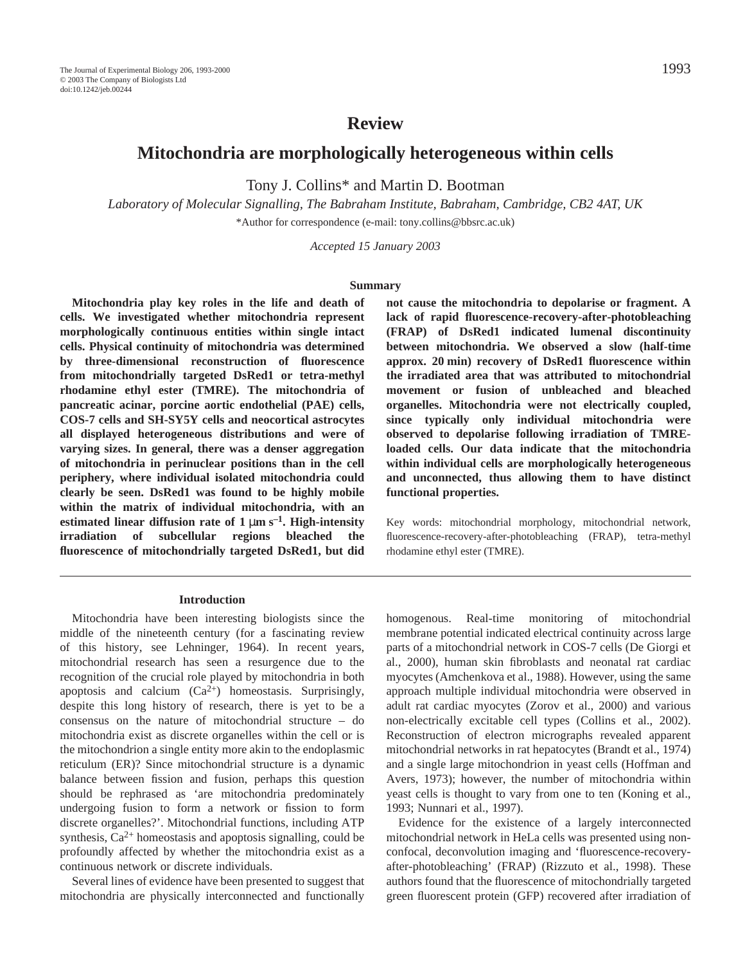# **Review**

# **Mitochondria are morphologically heterogeneous within cells**

Tony J. Collins\* and Martin D. Bootman

*Laboratory of Molecular Signalling, The Babraham Institute, Babraham, Cambridge, CB2 4AT, UK* \*Author for correspondence (e-mail: tony.collins@bbsrc.ac.uk)

*Accepted 15 January 2003* 

#### **Summary**

**Mitochondria play key roles in the life and death of cells. We investigated whether mitochondria represent morphologically continuous entities within single intact cells. Physical continuity of mitochondria was determined by three-dimensional reconstruction of fluorescence from mitochondrially targeted DsRed1 or tetra-methyl rhodamine ethyl ester (TMRE). The mitochondria of pancreatic acinar, porcine aortic endothelial (PAE) cells, COS-7 cells and SH-SY5Y cells and neocortical astrocytes all displayed heterogeneous distributions and were of varying sizes. In general, there was a denser aggregation of mitochondria in perinuclear positions than in the cell periphery, where individual isolated mitochondria could clearly be seen. DsRed1 was found to be highly mobile within the matrix of individual mitochondria, with an** estimated linear diffusion rate of  $1 \mu m s^{-1}$ . High-intensity **irradiation of subcellular regions bleached the fluorescence of mitochondrially targeted DsRed1, but did**

**not cause the mitochondria to depolarise or fragment. A lack of rapid fluorescence-recovery-after-photobleaching (FRAP) of DsRed1 indicated lumenal discontinuity between mitochondria. We observed a slow (half-time** approx. 20 min) recovery of DsRed1 fluorescence within **the irradiated area that was attributed to mitochondrial movement or fusion of unbleached and bleached organelles. Mitochondria were not electrically coupled, since typically only individual mitochondria were observed to depolarise following irradiation of TMREloaded cells. Our data indicate that the mitochondria within individual cells are morphologically heterogeneous and unconnected, thus allowing them to have distinct functional properties.**

Key words: mitochondrial morphology, mitochondrial network, fluorescence-recovery-after-photobleaching (FRAP), tetra-methyl rhodamine ethyl ester (TMRE).

#### **Introduction**

Mitochondria have been interesting biologists since the middle of the nineteenth century (for a fascinating review of this history, see Lehninger, 1964). In recent years, mitochondrial research has seen a resurgence due to the recognition of the crucial role played by mitochondria in both apoptosis and calcium  $(Ca^{2+})$  homeostasis. Surprisingly, despite this long history of research, there is yet to be a consensus on the nature of mitochondrial structure – do mitochondria exist as discrete organelles within the cell or is the mitochondrion a single entity more akin to the endoplasmic reticulum (ER)? Since mitochondrial structure is a dynamic balance between fission and fusion, perhaps this question should be rephrased as 'are mitochondria predominately undergoing fusion to form a network or fission to form discrete organelles?'. Mitochondrial functions, including ATP synthesis,  $Ca^{2+}$  homeostasis and apoptosis signalling, could be profoundly affected by whether the mitochondria exist as a continuous network or discrete individuals.

Several lines of evidence have been presented to suggest that mitochondria are physically interconnected and functionally homogenous. Real-time monitoring of mitochondrial membrane potential indicated electrical continuity across large parts of a mitochondrial network in COS-7 cells (De Giorgi et al., 2000), human skin fibroblasts and neonatal rat cardiac myocytes (Amchenkova et al., 1988). However, using the same approach multiple individual mitochondria were observed in adult rat cardiac myocytes (Zorov et al., 2000) and various non-electrically excitable cell types (Collins et al., 2002). Reconstruction of electron micrographs revealed apparent mitochondrial networks in rat hepatocytes (Brandt et al., 1974) and a single large mitochondrion in yeast cells (Hoffman and Avers, 1973); however, the number of mitochondria within yeast cells is thought to vary from one to ten (Koning et al., 1993; Nunnari et al., 1997).

Evidence for the existence of a largely interconnected mitochondrial network in HeLa cells was presented using nonconfocal, deconvolution imaging and 'fluorescence-recoveryafter-photobleaching' (FRAP) (Rizzuto et al., 1998). These authors found that the fluorescence of mitochondrially targeted green fluorescent protein (GFP) recovered after irradiation of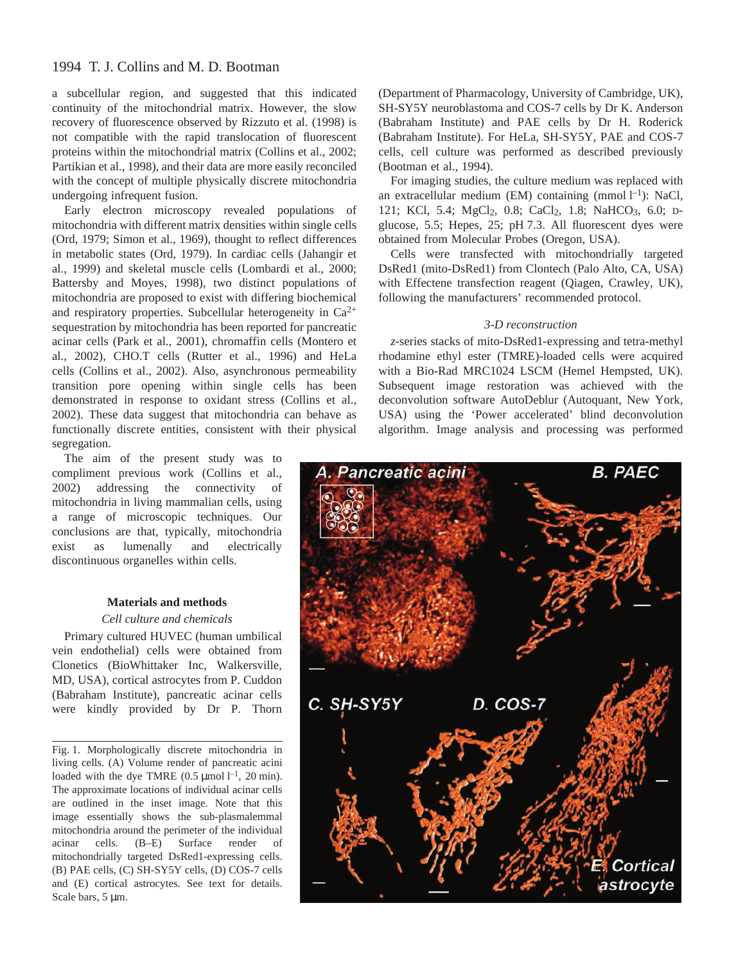## 1994 T. J. Collins and M. D. Bootman

a subcellular region, and suggested that this indicated continuity of the mitochondrial matrix. However, the slow recovery of fluorescence observed by Rizzuto et al. (1998) is not compatible with the rapid translocation of fluorescent proteins within the mitochondrial matrix (Collins et al., 2002; Partikian et al., 1998), and their data are more easily reconciled with the concept of multiple physically discrete mitochondria undergoing infrequent fusion.

Early electron microscopy revealed populations of mitochondria with different matrix densities within single cells (Ord, 1979; Simon et al., 1969), thought to reflect differences in metabolic states (Ord, 1979). In cardiac cells (Jahangir et al., 1999) and skeletal muscle cells (Lombardi et al., 2000; Battersby and Moyes, 1998), two distinct populations of mitochondria are proposed to exist with differing biochemical and respiratory properties. Subcellular heterogeneity in  $Ca^{2+}$ sequestration by mitochondria has been reported for pancreatic acinar cells (Park et al., 2001), chromaffin cells (Montero et al., 2002), CHO.T cells (Rutter et al., 1996) and HeLa cells (Collins et al., 2002). Also, asynchronous permeability transition pore opening within single cells has been demonstrated in response to oxidant stress (Collins et al., 2002). These data suggest that mitochondria can behave as functionally discrete entities, consistent with their physical segregation.

The aim of the present study was to compliment previous work (Collins et al., 2002) addressing the connectivity of mitochondria in living mammalian cells, using a range of microscopic techniques. Our conclusions are that, typically, mitochondria exist as lumenally and electrically discontinuous organelles within cells.

### **Materials and methods**

#### *Cell culture and chemicals*

Primary cultured HUVEC (human umbilical vein endothelial) cells were obtained from Clonetics (BioWhittaker Inc, Walkersville, MD, USA), cortical astrocytes from P. Cuddon (Babraham Institute), pancreatic acinar cells were kindly provided by Dr P. Thorn

Fig. 1. Morphologically discrete mitochondria in living cells. (A) Volume render of pancreatic acini loaded with the dye TMRE  $(0.5 \text{ \mu mol } l^{-1}, 20 \text{ min}).$ The approximate locations of individual acinar cells are outlined in the inset image. Note that this image essentially shows the sub-plasmalemmal mitochondria around the perimeter of the individual acinar cells. (B–E) Surface render of mitochondrially targeted DsRed1-expressing cells. (B) PAE cells, (C) SH-SY5Y cells, (D) COS-7 cells and (E) cortical astrocytes. See text for details. Scale bars,  $5 \mu m$ .

(Department of Pharmacology, University of Cambridge, UK), SH-SY5Y neuroblastoma and COS-7 cells by Dr K. Anderson (Babraham Institute) and PAE cells by Dr H. Roderick (Babraham Institute). For HeLa, SH-SY5Y, PAE and COS-7 cells, cell culture was performed as described previously (Bootman et al., 1994).

For imaging studies, the culture medium was replaced with an extracellular medium (EM) containing (mmol  $l^{-1}$ ): NaCl, 121; KCl, 5.4; MgCl<sub>2</sub>, 0.8; CaCl<sub>2</sub>, 1.8; NaHCO<sub>3</sub>, 6.0; Dglucose, 5.5; Hepes, 25; pH 7.3. All fluorescent dyes were obtained from Molecular Probes (Oregon, USA).

Cells were transfected with mitochondrially targeted DsRed1 (mito-DsRed1) from Clontech (Palo Alto, CA, USA) with Effectene transfection reagent (Qiagen, Crawley, UK), following the manufacturers' recommended protocol.

#### *3-D reconstruction*

*z*-series stacks of mito-DsRed1-expressing and tetra-methyl rhodamine ethyl ester (TMRE)-loaded cells were acquired with a Bio-Rad MRC1024 LSCM (Hemel Hempsted, UK). Subsequent image restoration was achieved with the deconvolution software AutoDeblur (Autoquant, New York, USA) using the 'Power accelerated' blind deconvolution algorithm. Image analysis and processing was performed

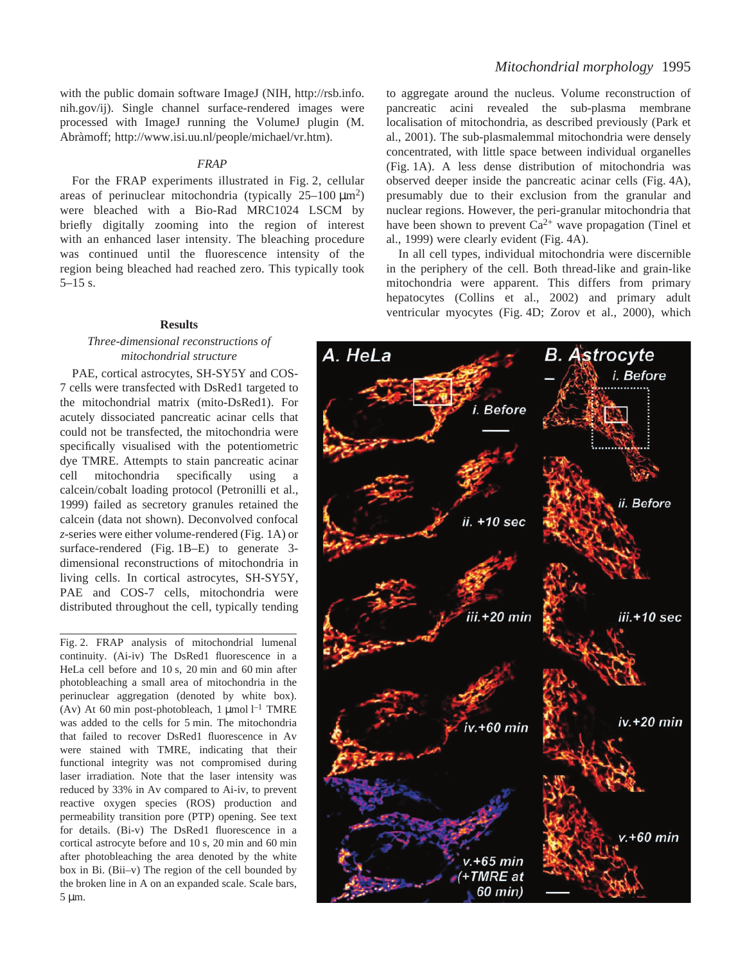with the public domain software ImageJ (NIH, http://rsb.info. nih.gov/ij). Single channel surface-rendered images were processed with ImageJ running the VolumeJ plugin (M. Abràmoff; http://www.isi.uu.nl/people/michael/vr.htm).

### *FRAP*

For the FRAP experiments illustrated in Fig. 2, cellular areas of perinuclear mitochondria (typically  $25-100~\mu$ m<sup>2</sup>) were bleached with a Bio-Rad MRC1024 LSCM by briefly digitally zooming into the region of interest with an enhanced laser intensity. The bleaching procedure was continued until the fluorescence intensity of the region being bleached had reached zero. This typically took  $5-15$  s.

#### **Results**

### *Three-dimensional reconstructions of mitochondrial structure*

PAE, cortical astrocytes, SH-SY5Y and COS-7 cells were transfected with DsRed1 targeted to the mitochondrial matrix (mito-DsRed1). For acutely dissociated pancreatic acinar cells that could not be transfected, the mitochondria were specifically visualised with the potentiometric dye TMRE. Attempts to stain pancreatic acinar cell mitochondria specifically using a calcein/cobalt loading protocol (Petronilli et al., 1999) failed as secretory granules retained the calcein (data not shown). Deconvolved confocal *z*-series were either volume-rendered (Fig. 1A) or surface-rendered (Fig.  $1B-E$ ) to generate 3dimensional reconstructions of mitochondria in living cells. In cortical astrocytes, SH-SY5Y, PAE and COS-7 cells, mitochondria were distributed throughout the cell, typically tending

Fig. 2. FRAP analysis of mitochondrial lumenal continuity. (Ai-iv) The DsRed1 fluorescence in a HeLa cell before and  $10 s$ ,  $20 min$  and  $60 min$  after photobleaching a small area of mitochondria in the perinuclear aggregation (denoted by white box). (Av) At 60 min post-photobleach, 1  $\mu$ mol l<sup>-1</sup> TMRE was added to the cells for 5 min. The mitochondria that failed to recover DsRed1 fluorescence in Av were stained with TMRE, indicating that their functional integrity was not compromised during laser irradiation. Note that the laser intensity was reduced by 33% in Av compared to Ai-iv, to prevent reactive oxygen species (ROS) production and permeability transition pore (PTP) opening. See text for details. (Bi-v) The DsRed1 fluorescence in a cortical astrocyte before and 10 s, 20 min and 60 min after photobleaching the area denoted by the white box in Bi. (Bii–v) The region of the cell bounded by the broken line in A on an expanded scale. Scale bars,  $5 \mu m$ .

to aggregate around the nucleus. Volume reconstruction of pancreatic acini revealed the sub-plasma membrane localisation of mitochondria, as described previously (Park et al., 2001). The sub-plasmalemmal mitochondria were densely concentrated, with little space between individual organelles (Fig. 1A). A less dense distribution of mitochondria was observed deeper inside the pancreatic acinar cells (Fig. 4A), presumably due to their exclusion from the granular and nuclear regions. However, the peri-granular mitochondria that have been shown to prevent  $Ca^{2+}$  wave propagation (Tinel et al., 1999) were clearly evident (Fig. 4A).

In all cell types, individual mitochondria were discernible in the periphery of the cell. Both thread-like and grain-like mitochondria were apparent. This differs from primary hepatocytes (Collins et al., 2002) and primary adult ventricular myocytes (Fig. 4D; Zorov et al., 2000), which

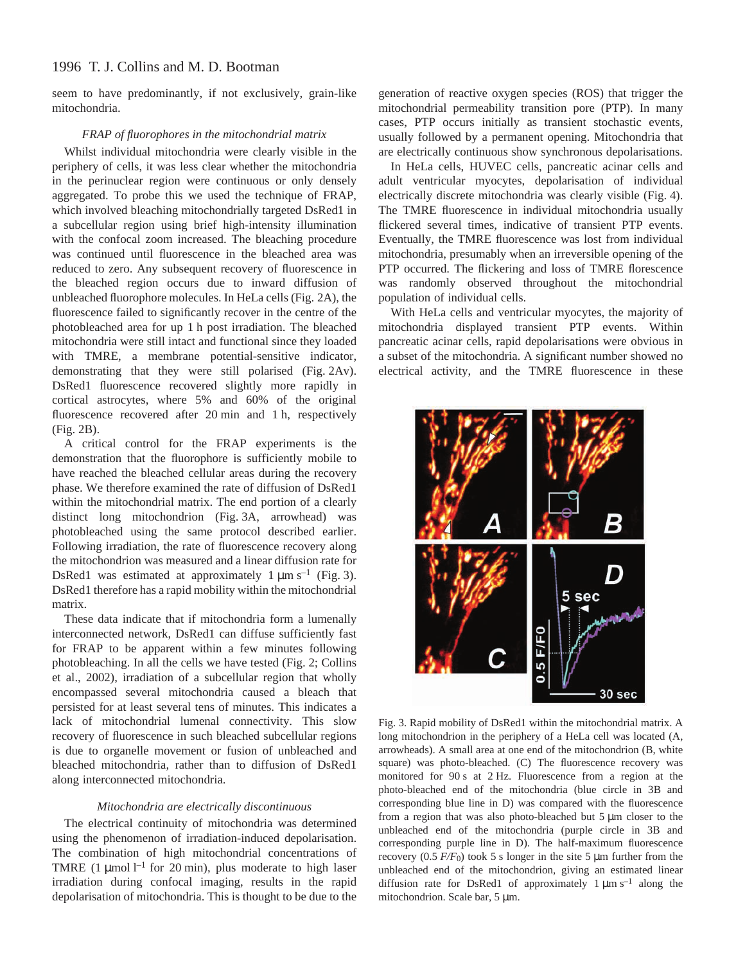seem to have predominantly, if not exclusively, grain-like mitochondria.

#### *FRAP of fluorophores in the mitochondrial matrix*

Whilst individual mitochondria were clearly visible in the periphery of cells, it was less clear whether the mitochondria in the perinuclear region were continuous or only densely aggregated. To probe this we used the technique of FRAP, which involved bleaching mitochondrially targeted DsRed1 in a subcellular region using brief high-intensity illumination with the confocal zoom increased. The bleaching procedure was continued until fluorescence in the bleached area was reduced to zero. Any subsequent recovery of fluorescence in the bleached region occurs due to inward diffusion of unbleached fluorophore molecules. In HeLa cells (Fig. 2A), the fluorescence failed to significantly recover in the centre of the photobleached area for up 1 h post irradiation. The bleached mitochondria were still intact and functional since they loaded with TMRE, a membrane potential-sensitive indicator, demonstrating that they were still polarised (Fig. 2Av). DsRed1 fluorescence recovered slightly more rapidly in cortical astrocytes, where 5% and 60% of the original fluorescence recovered after 20 min and 1 h, respectively  $(Fig. 2B)$ .

A critical control for the FRAP experiments is the demonstration that the fluorophore is sufficiently mobile to have reached the bleached cellular areas during the recovery phase. We therefore examined the rate of diffusion of DsRed1 within the mitochondrial matrix. The end portion of a clearly distinct long mitochondrion (Fig. 3A, arrowhead) was photobleached using the same protocol described earlier. Following irradiation, the rate of fluorescence recovery along the mitochondrion was measured and a linear diffusion rate for DsRed1 was estimated at approximately  $1 \mu m s^{-1}$  (Fig. 3). DsRed1 therefore has a rapid mobility within the mitochondrial matrix.

These data indicate that if mitochondria form a lumenally interconnected network, DsRed1 can diffuse sufficiently fast for FRAP to be apparent within a few minutes following photobleaching. In all the cells we have tested (Fig. 2; Collins et al., 2002), irradiation of a subcellular region that wholly encompassed several mitochondria caused a bleach that persisted for at least several tens of minutes. This indicates a lack of mitochondrial lumenal connectivity. This slow recovery of fluorescence in such bleached subcellular regions is due to organelle movement or fusion of unbleached and bleached mitochondria, rather than to diffusion of DsRed1 along interconnected mitochondria.

#### *Mitochondria are electrically discontinuous*

The electrical continuity of mitochondria was determined using the phenomenon of irradiation-induced depolarisation. The combination of high mitochondrial concentrations of TMRE  $(1 \mu \text{mol})^{-1}$  for 20 min), plus moderate to high laser irradiation during confocal imaging, results in the rapid depolarisation of mitochondria. This is thought to be due to the

generation of reactive oxygen species (ROS) that trigger the mitochondrial permeability transition pore (PTP). In many cases, PTP occurs initially as transient stochastic events, usually followed by a permanent opening. Mitochondria that are electrically continuous show synchronous depolarisations.

In HeLa cells, HUVEC cells, pancreatic acinar cells and adult ventricular myocytes, depolarisation of individual electrically discrete mitochondria was clearly visible (Fig. 4). The TMRE fluorescence in individual mitochondria usually flickered several times, indicative of transient PTP events. Eventually, the TMRE fluorescence was lost from individual mitochondria, presumably when an irreversible opening of the PTP occurred. The flickering and loss of TMRE florescence was randomly observed throughout the mitochondrial population of individual cells.

With HeLa cells and ventricular myocytes, the majority of mitochondria displayed transient PTP events. Within pancreatic acinar cells, rapid depolarisations were obvious in a subset of the mitochondria. A significant number showed no electrical activity, and the TMRE fluorescence in these



Fig. 3. Rapid mobility of DsRed1 within the mitochondrial matrix. A long mitochondrion in the periphery of a HeLa cell was located (A, arrowheads). A small area at one end of the mitochondrion (B, white square) was photo-bleached. (C) The fluorescence recovery was monitored for  $90 s$  at  $2 Hz$ . Fluorescence from a region at the photo-bleached end of the mitochondria (blue circle in 3B and corresponding blue line in D) was compared with the fluorescence from a region that was also photo-bleached but  $5 \mu m$  closer to the unbleached end of the mitochondria (purple circle in 3B and corresponding purple line in D). The half-maximum fluorescence recovery  $(0.5 F/F<sub>0</sub>)$  took 5 s longer in the site 5  $\mu$ m further from the unbleached end of the mitochondrion, giving an estimated linear diffusion rate for DsRed1 of approximately  $1 \mu m s^{-1}$  along the mitochondrion. Scale bar, 5 µm.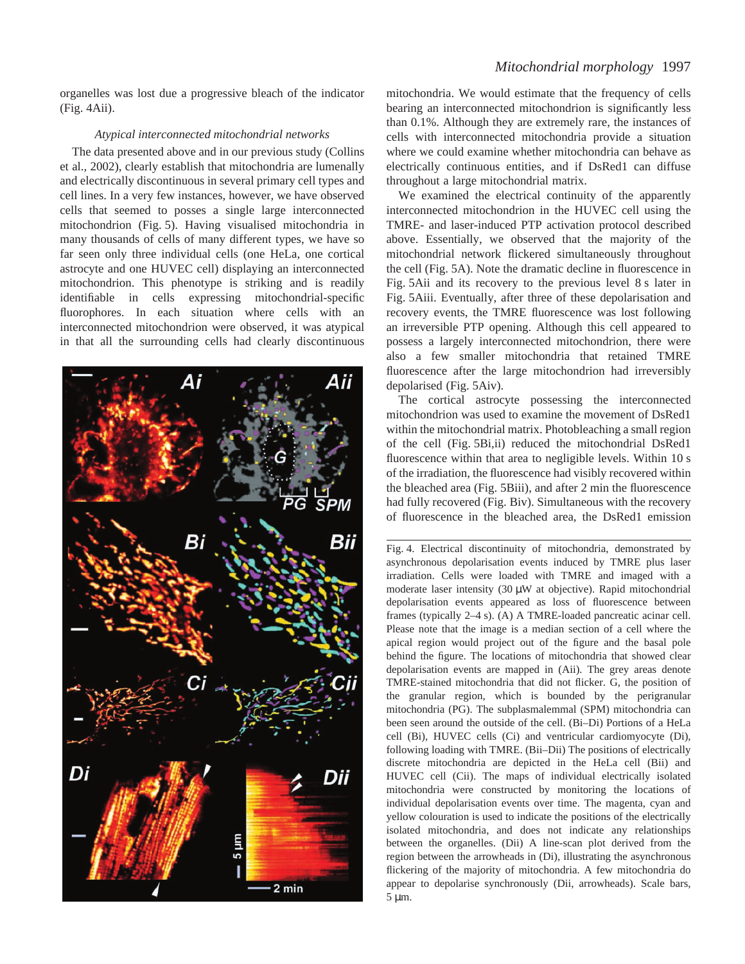organelles was lost due a progressive bleach of the indicator  $(Fig. 4Aii)$ .

#### *Atypical interconnected mitochondrial networks*

The data presented above and in our previous study (Collins et al., 2002), clearly establish that mitochondria are lumenally and electrically discontinuous in several primary cell types and cell lines. In a very few instances, however, we have observed cells that seemed to posses a single large interconnected mitochondrion (Fig. 5). Having visualised mitochondria in many thousands of cells of many different types, we have so far seen only three individual cells (one HeLa, one cortical astrocyte and one HUVEC cell) displaying an interconnected mitochondrion. This phenotype is striking and is readily identifiable in cells expressing mitochondrial-specific fluorophores. In each situation where cells with an interconnected mitochondrion were observed, it was atypical in that all the surrounding cells had clearly discontinuous



mitochondria. We would estimate that the frequency of cells bearing an interconnected mitochondrion is significantly less than 0.1%. Although they are extremely rare, the instances of cells with interconnected mitochondria provide a situation where we could examine whether mitochondria can behave as electrically continuous entities, and if DsRed1 can diffuse throughout a large mitochondrial matrix.

We examined the electrical continuity of the apparently interconnected mitochondrion in the HUVEC cell using the TMRE- and laser-induced PTP activation protocol described above. Essentially, we observed that the majority of the mitochondrial network flickered simultaneously throughout the cell (Fig. 5A). Note the dramatic decline in fluorescence in Fig. 5Aii and its recovery to the previous level 8 s later in Fig. 5Aiii. Eventually, after three of these depolarisation and recovery events, the TMRE fluorescence was lost following an irreversible PTP opening. Although this cell appeared to possess a largely interconnected mitochondrion, there were also a few smaller mitochondria that retained TMRE fluorescence after the large mitochondrion had irreversibly depolarised (Fig. 5Aiv).

The cortical astrocyte possessing the interconnected mitochondrion was used to examine the movement of DsRed1 within the mitochondrial matrix. Photobleaching a small region of the cell (Fig. 5Bi,ii) reduced the mitochondrial DsRed1 fluorescence within that area to negligible levels. Within 10 s of the irradiation, the fluorescence had visibly recovered within the bleached area (Fig. 5Biii), and after 2 min the fluorescence had fully recovered (Fig. Biv). Simultaneous with the recovery of fluorescence in the bleached area, the DsRed1 emission

Fig. 4. Electrical discontinuity of mitochondria, demonstrated by asynchronous depolarisation events induced by TMRE plus laser irradiation. Cells were loaded with TMRE and imaged with a moderate laser intensity  $(30 \mu W)$  at objective). Rapid mitochondrial depolarisation events appeared as loss of fluorescence between frames (typically  $2-4$  s). (A) A TMRE-loaded pancreatic acinar cell. Please note that the image is a median section of a cell where the apical region would project out of the figure and the basal pole behind the figure. The locations of mitochondria that showed clear depolarisation events are mapped in (Aii). The grey areas denote TMRE-stained mitochondria that did not flicker. G, the position of the granular region, which is bounded by the perigranular mitochondria (PG). The subplasmalemmal (SPM) mitochondria can been seen around the outside of the cell. (Bi–Di) Portions of a HeLa cell (Bi), HUVEC cells (Ci) and ventricular cardiomyocyte (Di), following loading with TMRE. (Bii–Dii) The positions of electrically discrete mitochondria are depicted in the HeLa cell (Bii) and HUVEC cell (Cii). The maps of individual electrically isolated mitochondria were constructed by monitoring the locations of individual depolarisation events over time. The magenta, cyan and yellow colouration is used to indicate the positions of the electrically isolated mitochondria, and does not indicate any relationships between the organelles. (Dii) A line-scan plot derived from the region between the arrowheads in (Di), illustrating the asynchronous flickering of the majority of mitochondria. A few mitochondria do appear to depolarise synchronously (Dii, arrowheads). Scale bars,  $5 \mu m$ .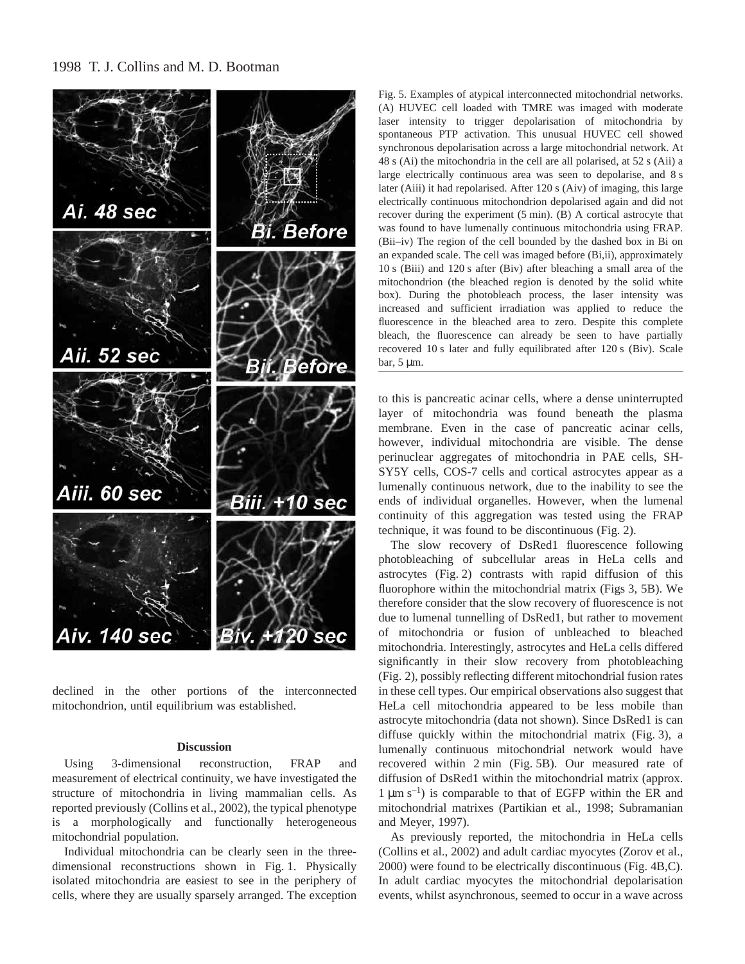1998 T. J. Collins and M. D. Bootman



declined in the other portions of the interconnected mitochondrion, until equilibrium was established.

#### **Discussion**

Using 3-dimensional reconstruction, FRAP and measurement of electrical continuity, we have investigated the structure of mitochondria in living mammalian cells. As reported previously (Collins et al., 2002), the typical phenotype is a morphologically and functionally heterogeneous mitochondrial population.

Individual mitochondria can be clearly seen in the three $dimensional$  reconstructions shown in Fig. 1. Physically isolated mitochondria are easiest to see in the periphery of cells, where they are usually sparsely arranged. The exception

Fig. 5. Examples of atypical interconnected mitochondrial networks. (A) HUVEC cell loaded with TMRE was imaged with moderate laser intensity to trigger depolarisation of mitochondria by spontaneous PTP activation. This unusual HUVEC cell showed synchronous depolarisation across a large mitochondrial network. At 48 s (Ai) the mitochondria in the cell are all polarised, at 52 s (Aii) a large electrically continuous area was seen to depolarise, and 8 s later (Aiii) it had repolarised. After 120 s (Aiv) of imaging, this large electrically continuous mitochondrion depolarised again and did not recover during the experiment  $(5 \text{ min})$ .  $(B)$  A cortical astrocyte that was found to have lumenally continuous mitochondria using FRAP. (Bii–iv) The region of the cell bounded by the dashed box in Bi on an expanded scale. The cell was imaged before (Bi,ii), approximately 10 s (Biii) and 120 s after (Biv) after bleaching a small area of the mitochondrion (the bleached region is denoted by the solid white box). During the photobleach process, the laser intensity was increased and sufficient irradiation was applied to reduce the fluorescence in the bleached area to zero. Despite this complete bleach, the fluorescence can already be seen to have partially recovered 10 s later and fully equilibrated after 120 s (Biv). Scale bar,  $5 \mu m$ .

to this is pancreatic acinar cells, where a dense uninterrupted layer of mitochondria was found beneath the plasma membrane. Even in the case of pancreatic acinar cells, however, individual mitochondria are visible. The dense perinuclear aggregates of mitochondria in PAE cells, SH-SY5Y cells, COS-7 cells and cortical astrocytes appear as a lumenally continuous network, due to the inability to see the ends of individual organelles. However, when the lumenal continuity of this aggregation was tested using the FRAP technique, it was found to be discontinuous (Fig. 2).

The slow recovery of DsRed1 fluorescence following photobleaching of subcellular areas in HeLa cells and astrocytes (Fig. 2) contrasts with rapid diffusion of this fluorophore within the mitochondrial matrix (Figs 3, 5B). We therefore consider that the slow recovery of fluorescence is not due to lumenal tunnelling of DsRed1, but rather to movement of mitochondria or fusion of unbleached to bleached mitochondria. Interestingly, astrocytes and HeLa cells differed significantly in their slow recovery from photobleaching (Fig. 2), possibly reflecting different mitochondrial fusion rates in these cell types. Our empirical observations also suggest that HeLa cell mitochondria appeared to be less mobile than astrocyte mitochondria (data not shown). Since DsRed1 is can diffuse quickly within the mitochondrial matrix (Fig. 3), a lumenally continuous mitochondrial network would have recovered within 2 min (Fig. 5B). Our measured rate of diffusion of DsRed1 within the mitochondrial matrix (approx.  $1 \mu m s^{-1}$ ) is comparable to that of EGFP within the ER and mitochondrial matrixes (Partikian et al., 1998; Subramanian and Meyer, 1997).

As previously reported, the mitochondria in HeLa cells (Collins et al., 2002) and adult cardiac myocytes (Zorov et al.,  $2000$ ) were found to be electrically discontinuous (Fig. 4B,C). In adult cardiac myocytes the mitochondrial depolarisation events, whilst asynchronous, seemed to occur in a wave across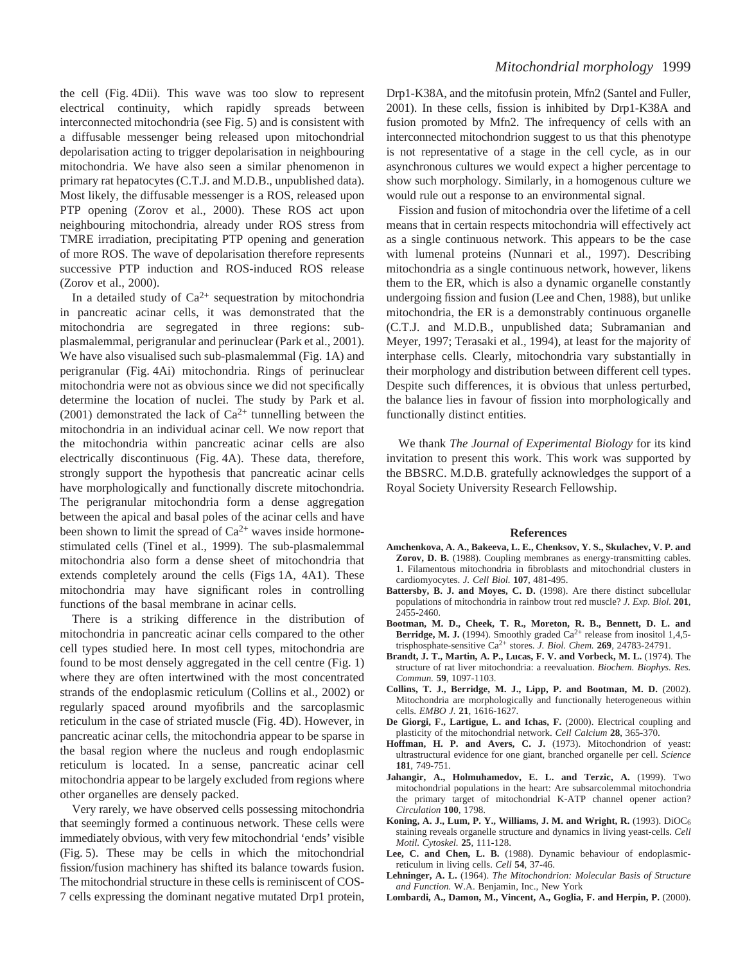the cell (Fig. 4Dii). This wave was too slow to represent electrical continuity, which rapidly spreads between interconnected mitochondria (see Fig. 5) and is consistent with a diffusable messenger being released upon mitochondrial depolarisation acting to trigger depolarisation in neighbouring mitochondria. We have also seen a similar phenomenon in primary rat hepatocytes (C.T.J. and M.D.B., unpublished data). Most likely, the diffusable messenger is a ROS, released upon PTP opening (Zorov et al., 2000). These ROS act upon neighbouring mitochondria, already under ROS stress from TMRE irradiation, precipitating PTP opening and generation of more ROS. The wave of depolarisation therefore represents successive PTP induction and ROS-induced ROS release (Zorov et al., 2000).

In a detailed study of  $Ca^{2+}$  sequestration by mitochondria in pancreatic acinar cells, it was demonstrated that the mitochondria are segregated in three regions: subplasmalemmal, perigranular and perinuclear (Park et al., 2001). We have also visualised such sub-plasmalemmal (Fig. 1A) and perigranular (Fig. 4Ai) mitochondria. Rings of perinuclear mitochondria were not as obvious since we did not specifically determine the location of nuclei. The study by Park et al. (2001) demonstrated the lack of  $Ca^{2+}$  tunnelling between the mitochondria in an individual acinar cell. We now report that the mitochondria within pancreatic acinar cells are also electrically discontinuous (Fig. 4A). These data, therefore, strongly support the hypothesis that pancreatic acinar cells have morphologically and functionally discrete mitochondria. The perigranular mitochondria form a dense aggregation between the apical and basal poles of the acinar cells and have been shown to limit the spread of  $Ca^{2+}$  waves inside hormonestimulated cells (Tinel et al., 1999). The sub-plasmalemmal mitochondria also form a dense sheet of mitochondria that extends completely around the cells (Figs 1A, 4A1). These mitochondria may have significant roles in controlling functions of the basal membrane in acinar cells.

There is a striking difference in the distribution of mitochondria in pancreatic acinar cells compared to the other cell types studied here. In most cell types, mitochondria are found to be most densely aggregated in the cell centre (Fig. 1) where they are often intertwined with the most concentrated strands of the endoplasmic reticulum (Collins et al., 2002) or regularly spaced around myofibrils and the sarcoplasmic reticulum in the case of striated muscle (Fig. 4D). However, in pancreatic acinar cells, the mitochondria appear to be sparse in the basal region where the nucleus and rough endoplasmic reticulum is located. In a sense, pancreatic acinar cell mitochondria appear to be largely excluded from regions where other organelles are densely packed.

Very rarely, we have observed cells possessing mitochondria that seemingly formed a continuous network. These cells were immediately obvious, with very few mitochondrial 'ends' visible (Fig. 5). These may be cells in which the mitochondrial fission/fusion machinery has shifted its balance towards fusion. The mitochondrial structure in these cells is reminiscent of COS-7 cells expressing the dominant negative mutated Drp1 protein, Drp1-K38A, and the mitofusin protein, Mfn2 (Santel and Fuller, 2001). In these cells, fission is inhibited by Drp1-K38A and fusion promoted by Mfn2. The infrequency of cells with an interconnected mitochondrion suggest to us that this phenotype is not representative of a stage in the cell cycle, as in our asynchronous cultures we would expect a higher percentage to show such morphology. Similarly, in a homogenous culture we would rule out a response to an environmental signal.

Fission and fusion of mitochondria over the lifetime of a cell means that in certain respects mitochondria will effectively act as a single continuous network. This appears to be the case with lumenal proteins (Nunnari et al., 1997). Describing mitochondria as a single continuous network, however, likens them to the ER, which is also a dynamic organelle constantly undergoing fission and fusion (Lee and Chen, 1988), but unlike mitochondria, the ER is a demonstrably continuous organelle (C.T.J. and M.D.B., unpublished data; Subramanian and Meyer, 1997; Terasaki et al., 1994), at least for the majority of interphase cells. Clearly, mitochondria vary substantially in their morphology and distribution between different cell types. Despite such differences, it is obvious that unless perturbed, the balance lies in favour of fission into morphologically and functionally distinct entities.

We thank *The Journal of Experimental Biology* for its kind invitation to present this work. This work was supported by the BBSRC. M.D.B. gratefully acknowledges the support of a Royal Society University Research Fellowship.

#### **References**

- **Amchenkova, A. A., Bakeeva, L. E., Chenksov, Y. S., Skulachev, V. P. and Zorov, D. B.** (1988). Coupling membranes as energy-transmitting cables. 1. Filamentous mitochondria in fibroblasts and mitochondrial clusters in cardiomyocytes. *J. Cell Biol.* **107**, 481-495.
- **Battersby, B. J. and Moyes, C. D.** (1998). Are there distinct subcellular populations of mitochondria in rainbow trout red muscle? *J. Exp. Biol.* **201**, 2455-2460.
- **Bootman, M. D., Cheek, T. R., Moreton, R. B., Bennett, D. L. and Berridge, M. J.** (1994). Smoothly graded  $Ca^{2+}$  release from inositol 1,4,5trisphosphate-sensitive Ca2+ stores. *J. Biol. Chem.* **269**, 24783-24791.
- **Brandt, J. T., Martin, A. P., Lucas, F. V. and Vorbeck, M. L.** (1974). The structure of rat liver mitochondria: a reevaluation. *Biochem. Biophys. Res. Commun.* **59**, 1097-1103.
- **Collins, T. J., Berridge, M. J., Lipp, P. and Bootman, M. D.** (2002). Mitochondria are morphologically and functionally heterogeneous within cells. *EMBO J.* **21**, 1616-1627.
- **De Giorgi, F., Lartigue, L. and Ichas, F.** (2000). Electrical coupling and plasticity of the mitochondrial network. *Cell Calcium* **28**, 365-370.
- **Hoffman, H. P. and Avers, C. J.** (1973). Mitochondrion of yeast: ultrastructural evidence for one giant, branched organelle per cell. *Science* **181**, 749-751.
- **Jahangir, A., Holmuhamedov, E. L. and Terzic, A.** (1999). Two mitochondrial populations in the heart: Are subsarcolemmal mitochondria the primary target of mitochondrial K-ATP channel opener action? *Circulation* **100**, 1798.
- **Koning, A. J., Lum, P. Y., Williams, J. M. and Wright, R.** (1993). DiOC6 staining reveals organelle structure and dynamics in living yeast-cells. *Cell Motil. Cytoskel.* **25**, 111-128.
- **Lee, C. and Chen, L. B.** (1988). Dynamic behaviour of endoplasmicreticulum in living cells. *Cell* **54**, 37-46.
- **Lehninger, A. L.** (1964). *The Mitochondrion: Molecular Basis of Structure and Function.* W.A. Benjamin, Inc., New York
- **Lombardi, A., Damon, M., Vincent, A., Goglia, F. and Herpin, P.** (2000).